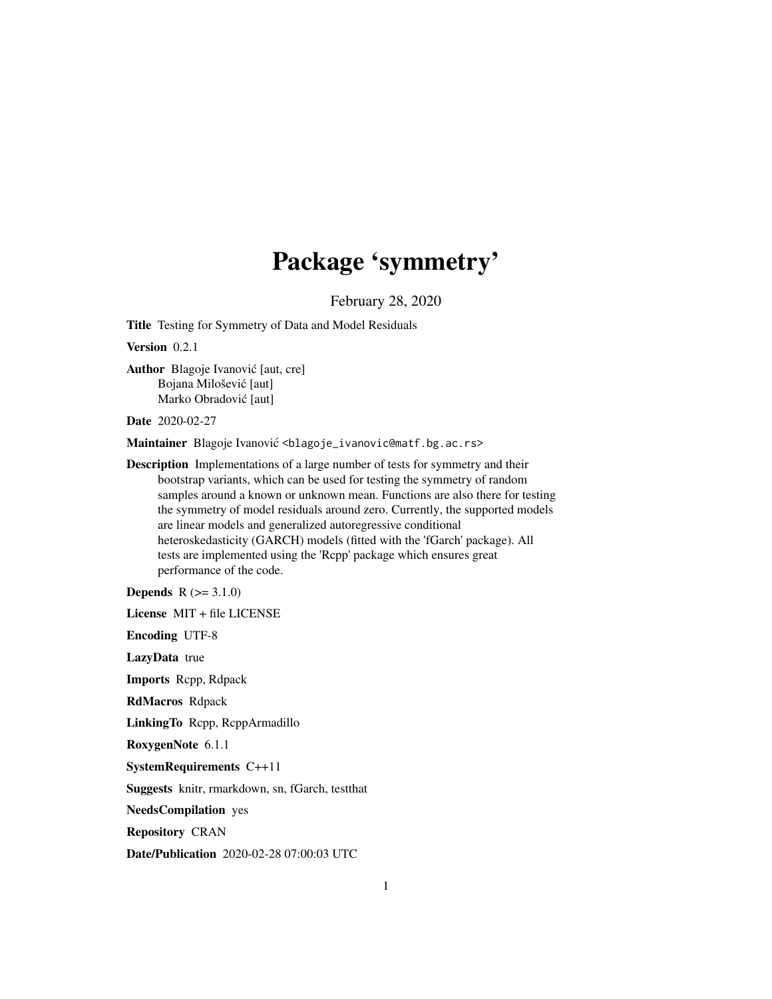# Package 'symmetry'

February 28, 2020

Title Testing for Symmetry of Data and Model Residuals

Version 0.2.1

Author Blagoje Ivanović [aut, cre] Bojana Milošević [aut] Marko Obradović [aut]

Date 2020-02-27

Maintainer Blagoje Ivanović <blagoje\_ivanovic@matf.bg.ac.rs>

Description Implementations of a large number of tests for symmetry and their bootstrap variants, which can be used for testing the symmetry of random samples around a known or unknown mean. Functions are also there for testing the symmetry of model residuals around zero. Currently, the supported models are linear models and generalized autoregressive conditional heteroskedasticity (GARCH) models (fitted with the 'fGarch' package). All tests are implemented using the 'Rcpp' package which ensures great performance of the code.

**Depends**  $R (= 3.1.0)$ 

License MIT + file LICENSE

Encoding UTF-8

LazyData true

Imports Rcpp, Rdpack

RdMacros Rdpack

LinkingTo Rcpp, RcppArmadillo

RoxygenNote 6.1.1

SystemRequirements C++11

Suggests knitr, rmarkdown, sn, fGarch, testthat

NeedsCompilation yes

Repository CRAN

Date/Publication 2020-02-28 07:00:03 UTC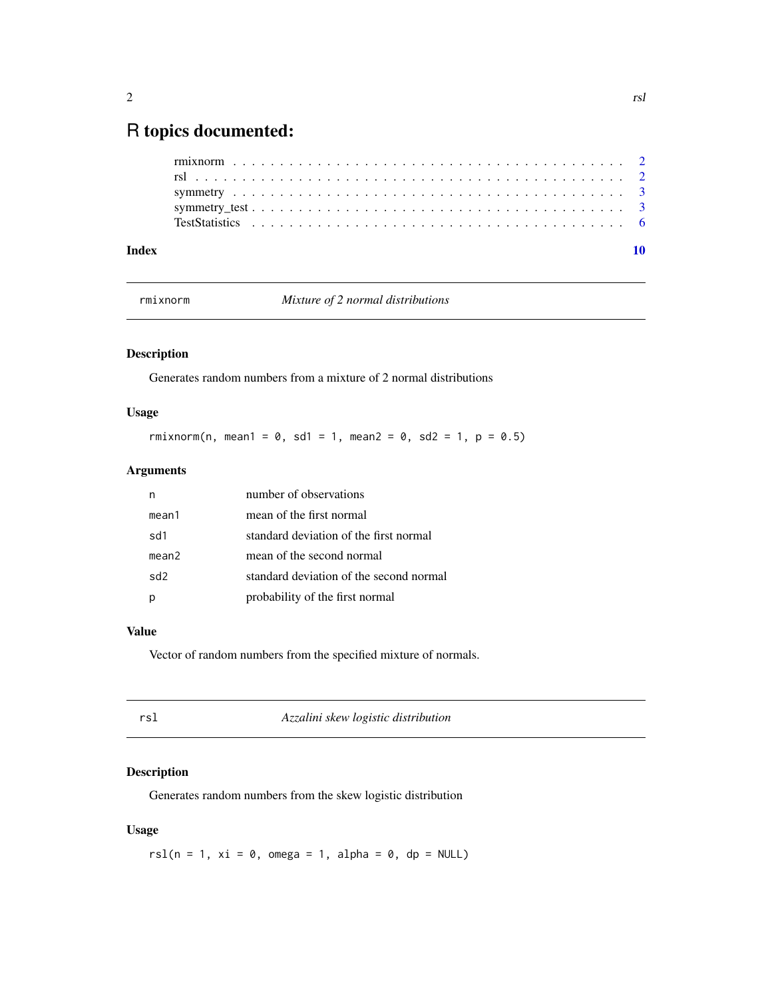# <span id="page-1-0"></span>R topics documented:

| Index |  |
|-------|--|
|       |  |
|       |  |
|       |  |
|       |  |
|       |  |

rmixnorm *Mixture of 2 normal distributions*

# Description

Generates random numbers from a mixture of 2 normal distributions

# Usage

rmixnorm(n, mean1 = 0, sd1 = 1, mean2 = 0, sd2 = 1, p = 0.5)

# Arguments

|       | number of observations                  |
|-------|-----------------------------------------|
| mean1 | mean of the first normal                |
| sd1   | standard deviation of the first normal  |
| mean2 | mean of the second normal               |
| sd2   | standard deviation of the second normal |
|       | probability of the first normal         |

# Value

Vector of random numbers from the specified mixture of normals.

| rsl | Azzalini skew logistic distribution |  |
|-----|-------------------------------------|--|
|     |                                     |  |

# Description

Generates random numbers from the skew logistic distribution

# Usage

rsl(n = 1, xi = 0, omega = 1, alpha = 0, dp = NULL)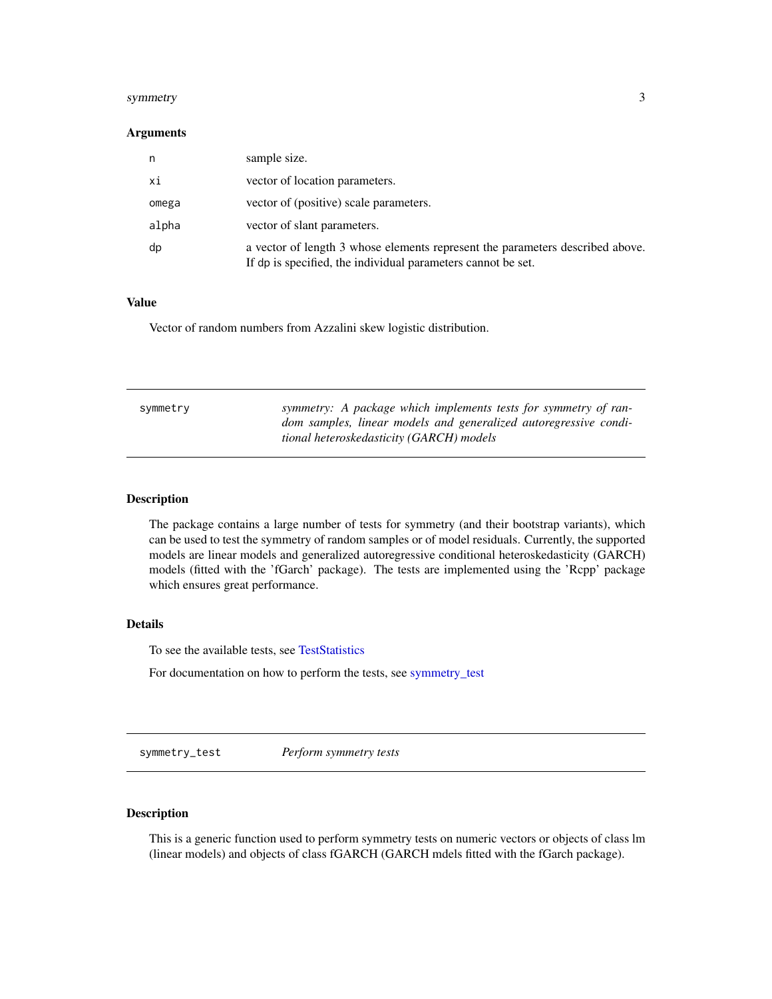#### <span id="page-2-0"></span>symmetry 3

#### **Arguments**

| n.    | sample size.                                                                                                                                  |
|-------|-----------------------------------------------------------------------------------------------------------------------------------------------|
| хi    | vector of location parameters.                                                                                                                |
| omega | vector of (positive) scale parameters.                                                                                                        |
| alpha | vector of slant parameters.                                                                                                                   |
| dp    | a vector of length 3 whose elements represent the parameters described above.<br>If dp is specified, the individual parameters cannot be set. |

#### Value

Vector of random numbers from Azzalini skew logistic distribution.

| symmetry | symmetry: A package which implements tests for symmetry of ran-<br>dom samples, linear models and generalized autoregressive condi-<br>tional heteroskedasticity (GARCH) models |
|----------|---------------------------------------------------------------------------------------------------------------------------------------------------------------------------------|
|          |                                                                                                                                                                                 |

# Description

The package contains a large number of tests for symmetry (and their bootstrap variants), which can be used to test the symmetry of random samples or of model residuals. Currently, the supported models are linear models and generalized autoregressive conditional heteroskedasticity (GARCH) models (fitted with the 'fGarch' package). The tests are implemented using the 'Rcpp' package which ensures great performance.

# Details

To see the available tests, see [TestStatistics](#page-5-1)

For documentation on how to perform the tests, see [symmetry\\_test](#page-2-1)

<span id="page-2-1"></span>symmetry\_test *Perform symmetry tests*

## Description

This is a generic function used to perform symmetry tests on numeric vectors or objects of class lm (linear models) and objects of class fGARCH (GARCH mdels fitted with the fGarch package).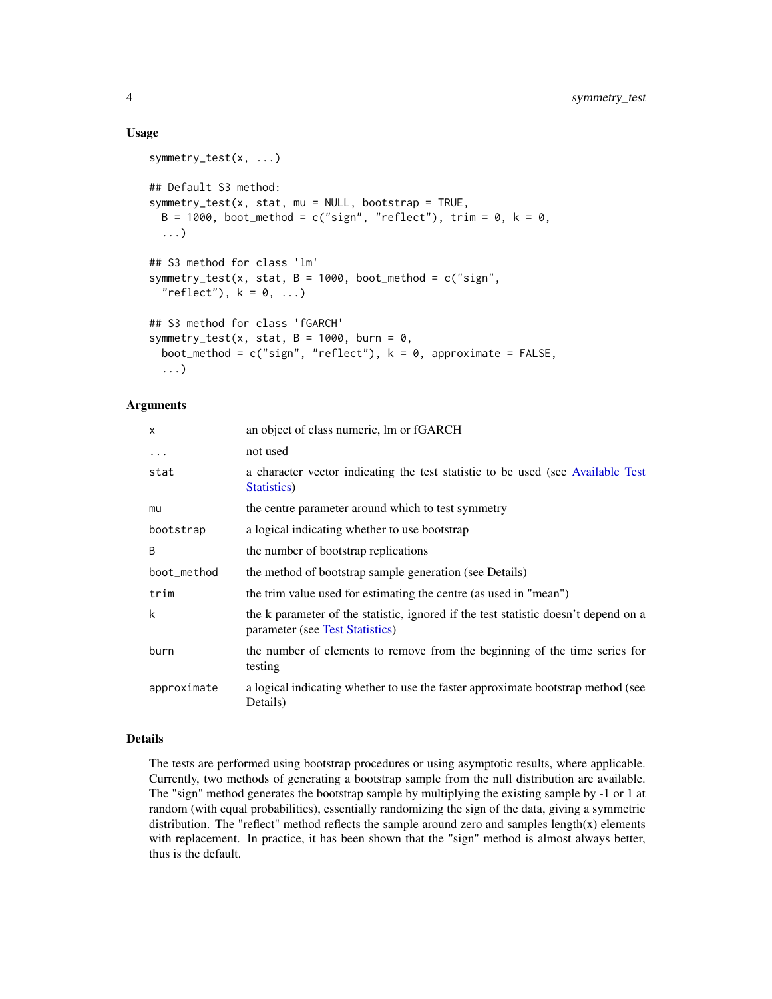#### Usage

```
symmetry_test(x, ...)
## Default S3 method:
symmetry_test(x, stat, mu = NULL, bootstrap = TRUE,
 B = 1000, boot_method = c("sign", "reflect"), trim = 0, k = 0,
  ...)
## S3 method for class 'lm'
symmetry_test(x, stat, B = 1000, boot_method = c("sign",
  "reflect"), k = 0, \ldots)
## S3 method for class 'fGARCH'
symmetry_test(x, stat, B = 1000, burn = 0,
  boot_method = c("sign", "reflect"), k = 0, approximate = FALSE,...)
```
#### Arguments

| X           | an object of class numeric, lm or fGARCH                                                                               |
|-------------|------------------------------------------------------------------------------------------------------------------------|
| $\cdot$     | not used                                                                                                               |
| stat        | a character vector indicating the test statistic to be used (see Available Test<br>Statistics)                         |
| mu          | the centre parameter around which to test symmetry                                                                     |
| bootstrap   | a logical indicating whether to use bootstrap                                                                          |
| B           | the number of bootstrap replications                                                                                   |
| boot_method | the method of bootstrap sample generation (see Details)                                                                |
| trim        | the trim value used for estimating the centre (as used in "mean")                                                      |
| k           | the k parameter of the statistic, ignored if the test statistic doesn't depend on a<br>parameter (see Test Statistics) |
| burn        | the number of elements to remove from the beginning of the time series for<br>testing                                  |
| approximate | a logical indicating whether to use the faster approximate bootstrap method (see<br>Details)                           |

#### Details

The tests are performed using bootstrap procedures or using asymptotic results, where applicable. Currently, two methods of generating a bootstrap sample from the null distribution are available. The "sign" method generates the bootstrap sample by multiplying the existing sample by -1 or 1 at random (with equal probabilities), essentially randomizing the sign of the data, giving a symmetric distribution. The "reflect" method reflects the sample around zero and samples length $(x)$  elements with replacement. In practice, it has been shown that the "sign" method is almost always better, thus is the default.

<span id="page-3-0"></span>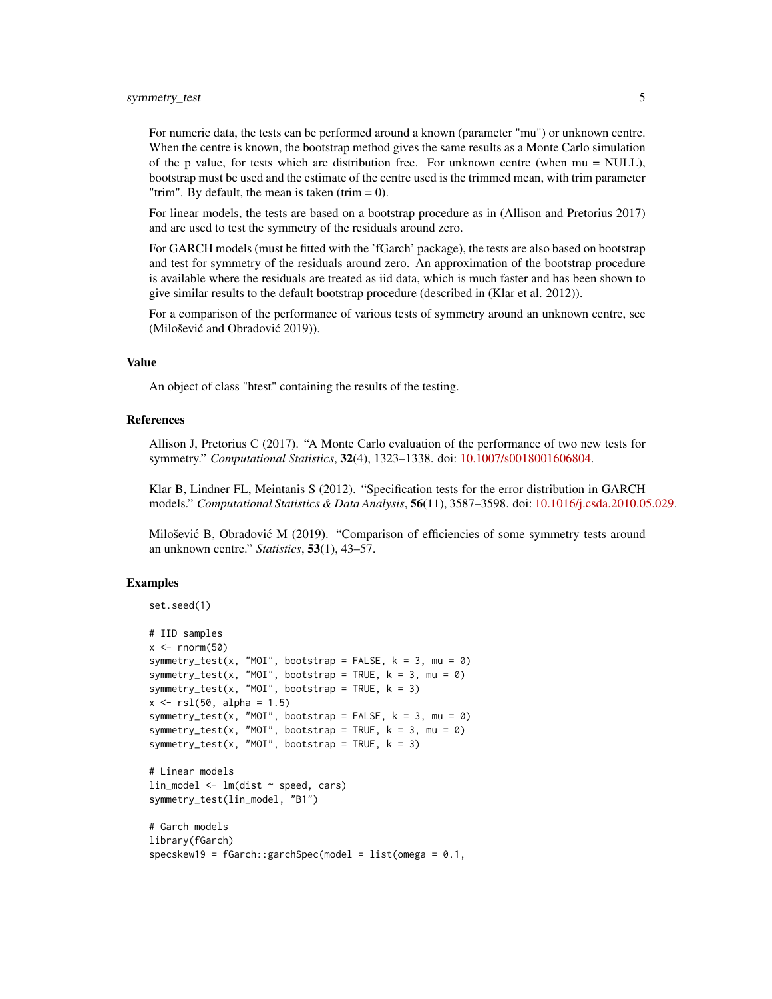# symmetry\_test 5

For numeric data, the tests can be performed around a known (parameter "mu") or unknown centre. When the centre is known, the bootstrap method gives the same results as a Monte Carlo simulation of the p value, for tests which are distribution free. For unknown centre (when mu = NULL), bootstrap must be used and the estimate of the centre used is the trimmed mean, with trim parameter "trim". By default, the mean is taken (trim  $= 0$ ).

For linear models, the tests are based on a bootstrap procedure as in (Allison and Pretorius 2017) and are used to test the symmetry of the residuals around zero.

For GARCH models (must be fitted with the 'fGarch' package), the tests are also based on bootstrap and test for symmetry of the residuals around zero. An approximation of the bootstrap procedure is available where the residuals are treated as iid data, which is much faster and has been shown to give similar results to the default bootstrap procedure (described in (Klar et al. 2012)).

For a comparison of the performance of various tests of symmetry around an unknown centre, see (Milošević and Obradović 2019)).

#### Value

An object of class "htest" containing the results of the testing.

#### References

Allison J, Pretorius C (2017). "A Monte Carlo evaluation of the performance of two new tests for symmetry." *Computational Statistics*, 32(4), 1323–1338. doi: [10.1007/s0018001606804.](https://doi.org/10.1007/s00180-016-0680-4)

Klar B, Lindner FL, Meintanis S (2012). "Specification tests for the error distribution in GARCH models." *Computational Statistics & Data Analysis*, 56(11), 3587–3598. doi: [10.1016/j.csda.2010.05.029.](https://doi.org/10.1016/j.csda.2010.05.029)

Milošević B, Obradović M (2019). "Comparison of efficiencies of some symmetry tests around an unknown centre." *Statistics*, 53(1), 43–57.

### Examples

```
set.seed(1)
# IID samples
x \leq -rnorm(50)symmetry_test(x, "MOI", bootstrap = FALSE, k = 3, mu = 0)
symmetry_test(x, "MOI", bootstrap = TRUE, k = 3, mu = 0)
symmetry_test(x, "MOI", bootstrap = TRUE, k = 3)
x \le - r s l (50, alpha = 1.5)symmetry_test(x, "MOI", bootstrap = FALSE, k = 3, mu = 0)
symmetry_test(x, "MOI", bootstrap = TRUE, k = 3, mu = 0)
symmetry_test(x, "MOI", bootstrap = TRUE, k = 3)
# Linear models
lin_model <- lm(dist ~ speed, cars)
symmetry_test(lin_model, "B1")
# Garch models
library(fGarch)
specskew19 = fGarch::garchSpec(model = list(omega = 0.1,
```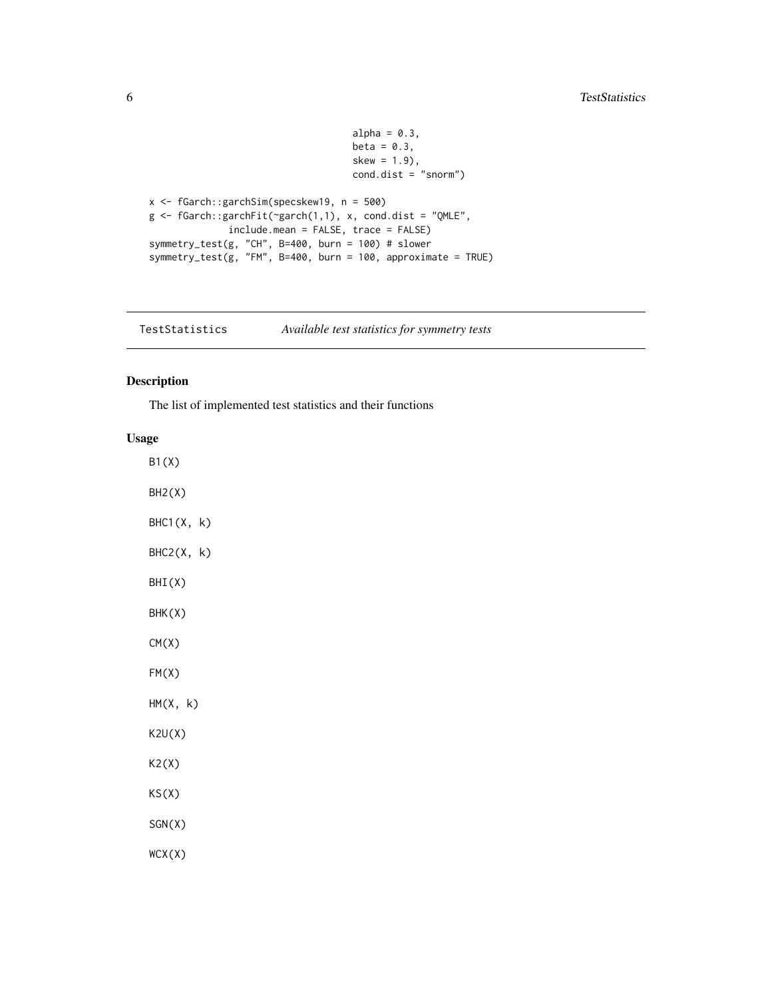```
alpha = 0.3,
                                     beta = 0.3,
                                     skew = 1.9),
                                     cond.dist = "snorm")
x <- fGarch::garchSim(specskew19, n = 500)
g \leftarrow fGarch::garchFit(\neg garch(1,1), x, cond.dist = "QMLE",include.mean = FALSE, trace = FALSE)
symmetry_test(g, "CH", B=400, burn = 100) # slower
symmetry_test(g, "FM", B=400, burn = 100, approximate = TRUE)
```
<span id="page-5-1"></span>TestStatistics *Available test statistics for symmetry tests*

# Description

The list of implemented test statistics and their functions

## Usage

B1(X) BH2(X)  $BHC1(X, k)$  $BHC2(X, k)$ BHI(X) BHK(X) CM(X) FM(X) HM(X, k) K2U(X) K2(X) KS(X) SGN(X) WCX(X)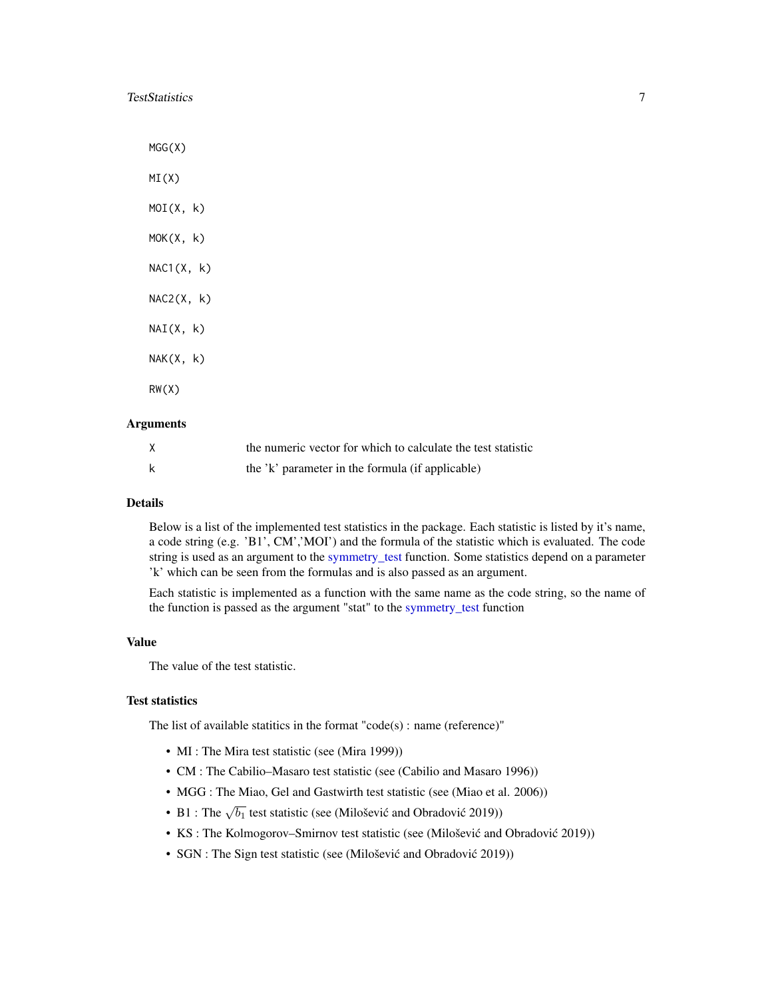<span id="page-6-0"></span>TestStatistics 7

MGG(X) MI(X)  $MOI(X, k)$  $MOK(X, k)$  $NAC1(X, k)$  $NAC2(X, k)$  $NAI(X, k)$  $NAK(X, k)$ RW(X)

# Arguments

| X | the numeric vector for which to calculate the test statistic |
|---|--------------------------------------------------------------|
|   | the 'k' parameter in the formula (if applicable)             |

#### Details

Below is a list of the implemented test statistics in the package. Each statistic is listed by it's name, a code string (e.g. 'B1', CM','MOI') and the formula of the statistic which is evaluated. The code string is used as an argument to the [symmetry\\_test](#page-2-1) function. Some statistics depend on a parameter 'k' which can be seen from the formulas and is also passed as an argument.

Each statistic is implemented as a function with the same name as the code string, so the name of the function is passed as the argument "stat" to the [symmetry\\_test](#page-2-1) function

#### Value

The value of the test statistic.

# Test statistics

The list of available statitics in the format "code(s) : name (reference)"

- MI : The Mira test statistic (see (Mira 1999))
- CM : The Cabilio–Masaro test statistic (see (Cabilio and Masaro 1996))
- MGG : The Miao, Gel and Gastwirth test statistic (see (Miao et al. 2006))
- B1 : The  $\sqrt{b_1}$  test statistic (see (Milošević and Obradović 2019))
- KS : The Kolmogorov–Smirnov test statistic (see (Milošević and Obradović 2019))
- SGN : The Sign test statistic (see (Milošević and Obradović 2019))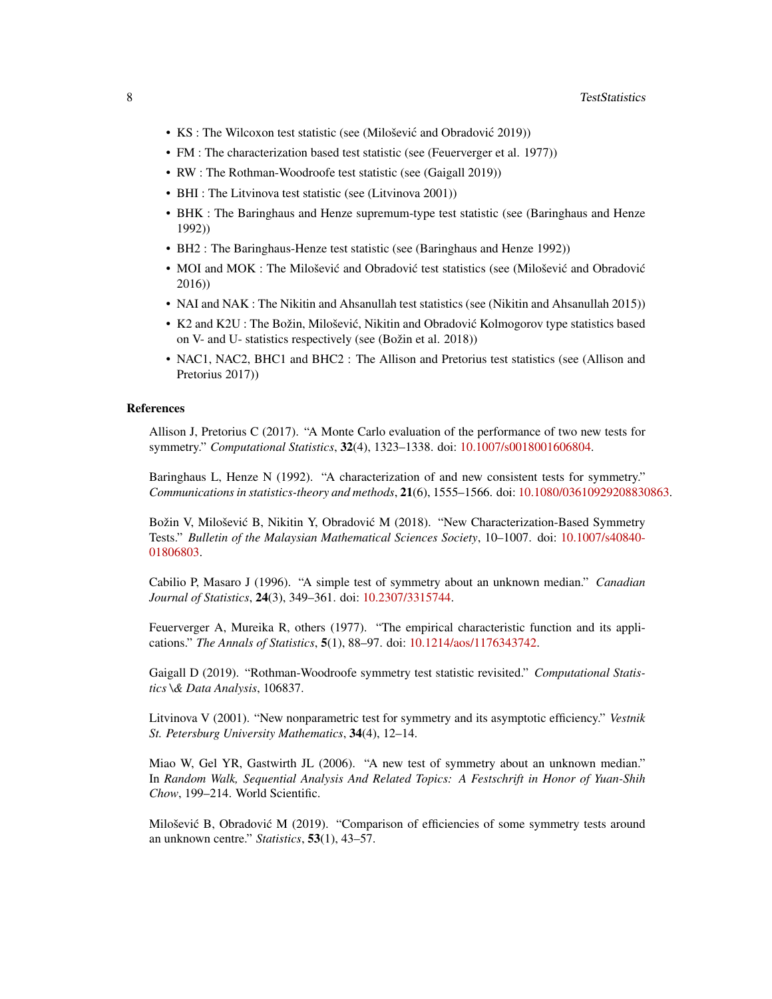- KS : The Wilcoxon test statistic (see (Milošević and Obradović 2019))
- FM : The characterization based test statistic (see (Feuerverger et al. 1977))
- RW : The Rothman-Woodroofe test statistic (see (Gaigall 2019))
- BHI : The Litvinova test statistic (see (Litvinova 2001))
- BHK : The Baringhaus and Henze supremum-type test statistic (see (Baringhaus and Henze 1992))
- BH2 : The Baringhaus-Henze test statistic (see (Baringhaus and Henze 1992))
- MOI and MOK : The Milošević and Obradović test statistics (see (Milošević and Obradović 2016))
- NAI and NAK : The Nikitin and Ahsanullah test statistics (see (Nikitin and Ahsanullah 2015))
- K2 and K2U : The Božin, Milošević, Nikitin and Obradović Kolmogorov type statistics based on V- and U- statistics respectively (see (Božin et al. 2018))
- NAC1, NAC2, BHC1 and BHC2 : The Allison and Pretorius test statistics (see (Allison and Pretorius 2017))

#### References

Allison J, Pretorius C (2017). "A Monte Carlo evaluation of the performance of two new tests for symmetry." *Computational Statistics*, 32(4), 1323–1338. doi: [10.1007/s0018001606804.](https://doi.org/10.1007/s00180-016-0680-4)

Baringhaus L, Henze N (1992). "A characterization of and new consistent tests for symmetry." *Communications in statistics-theory and methods*, 21(6), 1555–1566. doi: [10.1080/03610929208830863.](https://doi.org/10.1080/03610929208830863)

Božin V, Milošević B, Nikitin Y, Obradović M (2018). "New Characterization-Based Symmetry Tests." *Bulletin of the Malaysian Mathematical Sciences Society*, 10–1007. doi: [10.1007/s40840-](https://doi.org/10.1007/s40840-018-0680-3) [01806803.](https://doi.org/10.1007/s40840-018-0680-3)

Cabilio P, Masaro J (1996). "A simple test of symmetry about an unknown median." *Canadian Journal of Statistics*, 24(3), 349–361. doi: [10.2307/3315744.](https://doi.org/10.2307/3315744)

Feuerverger A, Mureika R, others (1977). "The empirical characteristic function and its applications." *The Annals of Statistics*, 5(1), 88–97. doi: [10.1214/aos/1176343742.](https://doi.org/10.1214/aos/1176343742)

Gaigall D (2019). "Rothman-Woodroofe symmetry test statistic revisited." *Computational Statistics \& Data Analysis*, 106837.

Litvinova V (2001). "New nonparametric test for symmetry and its asymptotic efficiency." *Vestnik St. Petersburg University Mathematics*, 34(4), 12–14.

Miao W, Gel YR, Gastwirth JL (2006). "A new test of symmetry about an unknown median." In *Random Walk, Sequential Analysis And Related Topics: A Festschrift in Honor of Yuan-Shih Chow*, 199–214. World Scientific.

Milošević B, Obradović M (2019). "Comparison of efficiencies of some symmetry tests around an unknown centre." *Statistics*, 53(1), 43–57.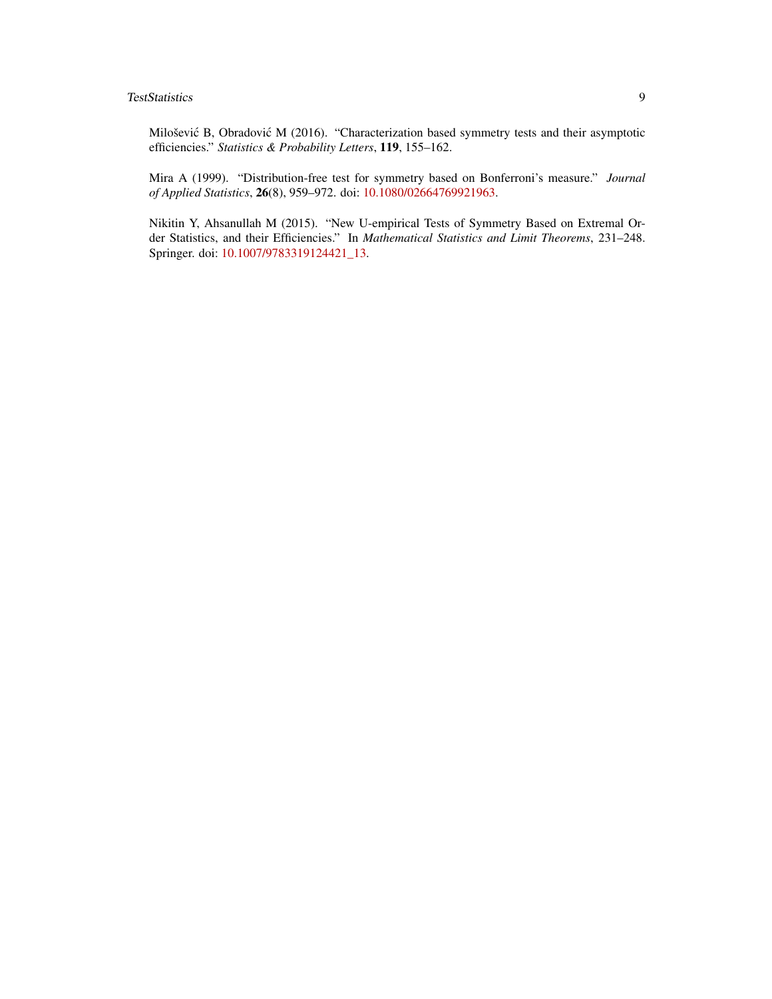Milošević B, Obradović M (2016). "Characterization based symmetry tests and their asymptotic efficiencies." *Statistics & Probability Letters*, 119, 155–162.

Mira A (1999). "Distribution-free test for symmetry based on Bonferroni's measure." *Journal of Applied Statistics*, 26(8), 959–972. doi: [10.1080/02664769921963.](https://doi.org/10.1080/02664769921963)

Nikitin Y, Ahsanullah M (2015). "New U-empirical Tests of Symmetry Based on Extremal Order Statistics, and their Efficiencies." In *Mathematical Statistics and Limit Theorems*, 231–248. Springer. doi: [10.1007/9783319124421\\_13.](https://doi.org/10.1007/978-3-319-12442-1_13)